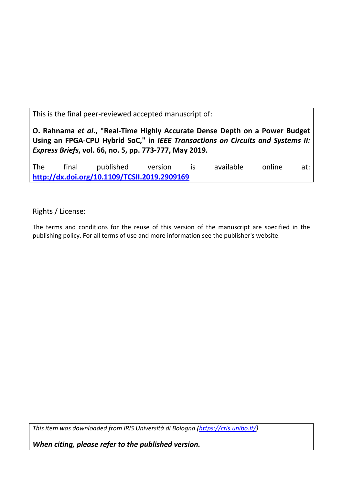This is the final peer-reviewed accepted manuscript of:

**O. Rahnama** *et al***., "Real-Time Highly Accurate Dense Depth on a Power Budget Using an FPGA-CPU Hybrid SoC," in** *IEEE Transactions on Circuits and Systems II: Express Briefs***, vol. 66, no. 5, pp. 773-777, May 2019.**

The final published version is available online at: **[http://dx.doi.org/10.1109/TCSII.2019.2909169](http://dx.doi.org/10.1109%2FTCSII.2019.2909169)**

Rights / License:

The terms and conditions for the reuse of this version of the manuscript are specified in the publishing policy. For all terms of use and more information see the publisher's website.

*This item was downloaded from IRIS Università di Bologna [\(https://cris.unibo.it/\)](https://cris.unibo.it/)*

*When citing, please refer to the published version.*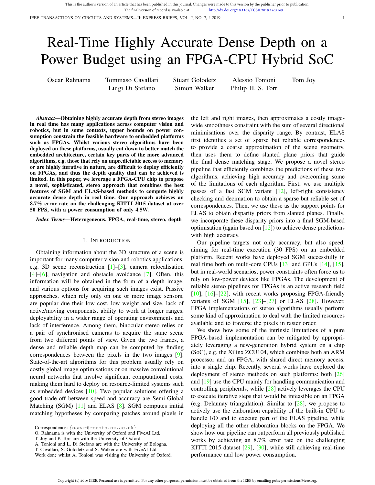This is the author's version of an article that has been published in this journal. Changes were made to this version by the publisher prior to publication.

The final version of record is available at http://dx.doi.org/10.1109/TCSII.2019.2909169

IEEE TRANSACTIONS ON CIRCUITS AND SYSTEMS—II: EXPRESS BRIEFS, VOL. ?, NO. ?, ? 2019 1

# Real-Time Highly Accurate Dense Depth on a Power Budget using an FPGA-CPU Hybrid SoC

Oscar Rahnama Tommaso Cavallari Stuart Golodetz Alessio Tonioni Tom Joy Luigi Di Stefano Simon Walker Philip H. S. Torr

*Abstract*—Obtaining highly accurate depth from stereo images in real time has many applications across computer vision and robotics, but in some contexts, upper bounds on power consumption constrain the feasible hardware to embedded platforms such as FPGAs. Whilst various stereo algorithms have been deployed on these platforms, usually cut down to better match the embedded architecture, certain key parts of the more advanced algorithms, e.g. those that rely on unpredictable access to memory or are highly iterative in nature, are difficult to deploy efficiently on FPGAs, and thus the depth quality that can be achieved is limited. In this paper, we leverage a FPGA-CPU chip to propose a novel, sophisticated, stereo approach that combines the best features of SGM and ELAS-based methods to compute highly accurate dense depth in real time. Our approach achieves an 8.7% error rate on the challenging KITTI 2015 dataset at over 50 FPS, with a power consumption of only 4.5W.

*Index Terms*—Heterogeneous, FPGA, real-time, stereo, depth

#### I. INTRODUCTION

Obtaining information about the 3D structure of a scene is important for many computer vision and robotics applications, e.g. 3D scene reconstruction [1]–[3], camera relocalisation [4]–[6], navigation and obstacle avoidance [7]. Often, this information will be obtained in the form of a depth image, and various options for acquiring such images exist. Passive approaches, which rely only on one or more image sensors, are popular due their low cost, low weight and size, lack of active/moving components, ability to work at longer ranges, deployability in a wider range of operating environments and lack of interference. Among them, binocular stereo relies on a pair of synchronised cameras to acquire the same scene from two different points of view. Given the two frames, a dense and reliable depth map can be computed by finding correspondences between the pixels in the two images [9]. State-of-the-art algorithms for this problem usually rely on costly global image optimisations or on massive convolutional neural networks that involve significant computational costs, making them hard to deploy on resource-limited systems such as embedded devices [10]. Two popular solutions offering a good trade-off between speed and accuracy are Semi-Global Matching (SGM) [11] and ELAS [8]. SGM computes initial matching hypotheses by comparing patches around pixels in the left and right images, then approximates a costly imagewide smoothness constraint with the sum of several directional minimisations over the disparity range. By contrast, ELAS first identifies a set of sparse but reliable correspondences to provide a coarse approximation of the scene geometry, then uses them to define slanted plane priors that guide the final dense matching stage. We propose a novel stereo pipeline that efficiently combines the predictions of these two algorithms, achieving high accuracy and overcoming some of the limitations of each algorithm. First, we use multiple passes of a fast SGM variant [12], left-right consistency checking and decimation to obtain a sparse but reliable set of correspondences. Then, we use these as the support points for ELAS to obtain disparity priors from slanted planes. Finally, we incorporate these disparity priors into a final SGM-based optimisation (again based on  $[12]$ ) to achieve dense predictions with high accuracy.

Our pipeline targets not only accuracy, but also speed, aiming for real-time execution (30 FPS) on an embedded platform. Recent works have deployed SGM successfully in real time both on multi-core CPUs [13] and GPUs [14], [15], but in real-world scenarios, power constraints often force us to rely on low-power devices like FPGAs. The development of reliable stereo pipelines for FPGAs is an active research field [10], [16]–[22], with recent works proposing FPGA-friendly variants of SGM  $[15]$ ,  $[23]$ - $[27]$  or ELAS  $[28]$ . However, FPGA implementations of stereo algorithms usually perform some kind of approximation to deal with the limited resources available and to traverse the pixels in raster order.

We show how some of the intrinsic limitations of a pure FPGA-based implementation can be mitigated by appropriately leveraging a new-generation hybrid system on a chip (SoC), e.g. the Xilinx ZCU104, which combines both an ARM processor and an FPGA, with shared direct memory access, into a single chip. Recently, several works have explored the deployment of stereo methods on such platforms: both [26] and [19] use the CPU mainly for handling communication and controlling peripherals, while [28] actively leverages the CPU to execute iterative steps that would be infeasible on an FPGA (e.g. Delaunay triangulation). Similar to  $[28]$ , we propose to actively use the elaboration capability of the built-in CPU to handle I/O and to execute part of the ELAS pipeline, while deploying all the other elaboration blocks on the FPGA. We show how our pipeline can outperform all previously published works by achieving an 8.7% error rate on the challenging KITTI 2015 dataset [29], [30], while still achieving real-time performance and low power consumption.

Correspondence: {oscar@robots.ox.ac.uk}

O. Rahnama is with the University of Oxford and FiveAI Ltd.

T. Joy and P. Torr are with the University of Oxford.

A. Tonioni and L. Di Stefano are with the University of Bologna.

T. Cavallari, S. Golodetz and S. Walker are with FiveAI Ltd.

Work done whilst A. Tonioni was visiting the University of Oxford.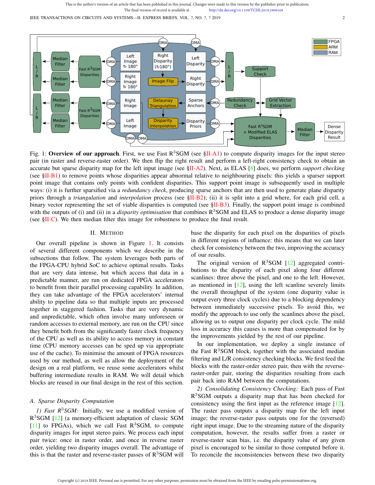This is the author's version of an article that has been published in this journal. Changes were made to this version by the publisher prior to publication

The final version of record is available at http://dx.doi.org/10.1109/TCSII.2019.2909169

IEEE TRANSACTIONS ON CIRCUITS AND SYSTEMS—II: EXPRESS BRIEFS, VOL. ?, NO. ?, ? 2019 2



Fig. 1: Overview of our approach. First, we use Fast  $R<sup>3</sup>SGM$  (see  $$II-A1$ ) to compute disparity images for the input stereo pair (in raster and reverse-raster order). We then flip the right result and perform a left-right consistency check to obtain an accurate but sparse disparity map for the left input image (see §II-A2). Next, as ELAS [8] does, we perform *support checking* (see  $\S II-B1$ ) to remove points whose disparities appear abnormal relative to neighbouring pixels: this yields a sparser support point image that contains only points with confident disparities. This support point image is subsequently used in multiple ways: (i) it is further sparsified via a *redundancy check*, producing sparse anchors that are then used to generate plane disparity priors through a *triangulation* and *interpolation* process (see §II-B2); (ii) it is split into a grid where, for each grid cell, a binary vector representing the set of viable disparities is computed (see  $$II-B3$ ). Finally, the support point image is combined with the outputs of (i) and (ii) in a *disparity optimisation* that combines R<sup>3</sup>SGM and ELAS to produce a dense disparity image (see  $\S$ II-C). We then median filter this image for robustness to produce the final result.

# II. METHOD

Our overall pipeline is shown in Figure 1. It consists of several different components which we describe in the subsections that follow. The system leverages both parts of the FPGA-CPU hybrid SoC to achieve optimal results. Tasks that are very data intense, but which access that data in a predictable manner, are run on dedicated FPGA accelerators to benefit from their parallel processing capability. In addition, they can take advantage of the FPGA accelerators' internal ability to pipeline data so that multiple inputs are processed together in staggered fashion. Tasks that are very dynamic and unpredictable, which often involve many unforeseen or random accesses to external memory, are run on the CPU since they benefit both from the significantly faster clock frequency of the CPU as well as its ability to access memory in constant time (CPU memory accesses can be sped up via appropriate use of the cache). To minimise the amount of FPGA resources used by our method, as well as allow the deployment of the design on a real platform, we reuse some accelerators whilst buffering intermediate results in RAM. We will detail which blocks are reused in our final design in the rest of this section.

# *A. Sparse Disparity Computation*

*1) Fast R*<sup>3</sup>*SGM:* Initially, we use a modified version of R<sup>3</sup>SGM [12] (a memory-efficient adaptation of classic SGM  $[11]$  to FPGAs), which we call Fast R<sup>3</sup>SGM, to compute disparity images for input stereo pairs. We process each input pair twice: once in raster order, and once in reverse raster order, yielding two disparity images overall. The advantage of this is that the raster and reverse-raster passes of  $R<sup>3</sup>SGM$  will

base the disparity for each pixel on the disparities of pixels in different regions of influence: this means that we can later check for consistency between the two, improving the accuracy of our results.

The original version of  $R<sup>3</sup>SGM$  [12] aggregated contributions to the disparity of each pixel along four different scanlines: three above the pixel, and one to the left. However, as mentioned in  $[12]$ , using the left scanline severely limits the overall throughput of the system (one disparity value is output every three clock cycles) due to a blocking dependency between immediately successive pixels. To avoid this, we modify the approach to use only the scanlines above the pixel, allowing us to output one disparity per clock cycle. The mild loss in accuracy this causes is more than compensated for by the improvements yielded by the rest of our pipeline.

In our implementation, we deploy a single instance of the Fast  $R<sup>3</sup>SGM$  block, together with the associated median filtering and L/R consistency checking blocks. We first feed the blocks with the raster-order stereo pair, then with the reverseraster-order pair, storing the disparities resulting from each pair back into RAM between the computations.

*2) Consolidating Consistency Checking:* Each pass of Fast R<sup>3</sup>SGM outputs a disparity map that has been checked for consistency using the first input as the reference image [12]. The raster pass outputs a disparity map for the left input image; the reverse-raster pass outputs one for the (reversed) right input image. Due to the streaming nature of the disparity computation, however, the results suffer from a raster or reverse-raster scan bias, i.e. the disparity value of any given pixel is encouraged to be similar to those computed before it. To reconcile the inconsistencies between these two disparity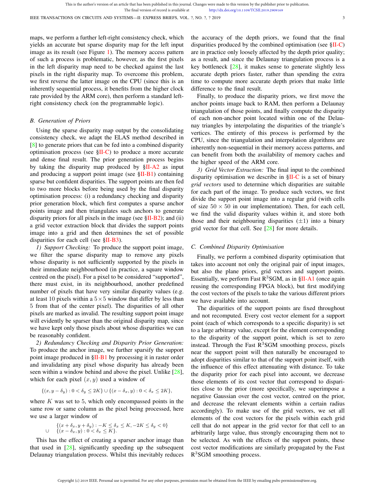This is the author's version of an article that has been published in this journal. Changes were made to this version by the publisher prior to publication

The final version of record is available at http://dx.doi.org/10.1109/TCSII.2019.2909169

IEEE TRANSACTIONS ON CIRCUITS AND SYSTEMS—II: EXPRESS BRIEFS, VOL. ?, NO. ?, ? 2019 3

maps, we perform a further left-right consistency check, which yields an accurate but sparse disparity map for the left input image as its result (see Figure 1). The memory access pattern of such a process is problematic, however, as the first pixels in the left disparity map need to be checked against the last pixels in the right disparity map. To overcome this problem, we first reverse the latter image on the CPU (since this is an inherently sequential process, it benefits from the higher clock rate provided by the ARM core), then perform a standard leftright consistency check (on the programmable logic).

#### *B. Generation of Priors*

Using the sparse disparity map output by the consolidating consistency check, we adapt the ELAS method described in [8] to generate priors that can be fed into a combined disparity optimisation process (see  $\S$ II-C) to produce a more accurate and dense final result. The prior generation process begins by taking the disparity map produced by  $$II-A2$  as input and producing a support point image (see  $\S$ II-B1) containing sparse but confident disparities. The support points are then fed to two more blocks before being used by the final disparity optimisation process: (i) a redundancy checking and disparity prior generation block, which first computes a sparse anchor points image and then triangulates such anchors to generate disparity priors for all pixels in the image (see  $\S$ II-B2); and (ii) a grid vector extraction block that divides the support points image into a grid and then determines the set of possible disparities for each cell (see §II-B3).

*1) Support Checking:* To produce the support point image, we filter the sparse disparity map to remove any pixels whose disparity is not sufficiently supported by the pixels in their immediate neighbourhood (in practice, a square window centred on the pixel). For a pixel to be considered "supported", there must exist, in its neighbourhood, another predefined number of pixels that have very similar disparity values (e.g. at least 10 pixels within a  $5 \times 5$  window that differ by less than 5 from that of the center pixel). The disparities of all other pixels are marked as invalid. The resulting support point image will evidently be sparser than the original disparity map, since we have kept only those pixels about whose disparities we can be reasonably confident.

*2) Redundancy Checking and Disparity Prior Generation:* To produce the anchor image, we further sparsify the support point image produced in §II-B1 by processing it in raster order and invalidating any pixel whose disparity has already been seen within a window behind and above the pixel. Unlike [28], which for each pixel  $(x, y)$  used a window of

$$
\{(x, y - \delta_y) : 0 < \delta_y \le 2K\} \cup \{(x - \delta_x, y) : 0 < \delta_x \le 2K\},
$$

where  $K$  was set to 5, which only encompassed points in the same row or same column as the pixel being processed, here we use a larger window of

$$
\{(x+\delta_x, y+\delta_y) : -K \le \delta_x \le K, -2K \le \delta_y < 0\}
$$
  

$$
\cup \{(x-\delta_x, y) : 0 < \delta_x \le K\}.
$$

This has the effect of creating a sparser anchor image than that used in  $[28]$ , significantly speeding up the subsequent Delaunay triangulation process. Whilst this inevitably reduces the accuracy of the depth priors, we found that the final disparities produced by the combined optimisation (see  $\S II-C$ ) are in practice only loosely affected by the depth prior quality; as a result, and since the Delaunay triangulation process is a key bottleneck [28], it makes sense to generate slightly less accurate depth priors faster, rather than spending the extra time to compute more accurate depth priors that make little difference to the final result.

Finally, to produce the disparity priors, we first move the anchor points image back to RAM, then perform a Delaunay triangulation of those points, and finally compute the disparity of each non-anchor point located within one of the Delaunay triangles by interpolating the disparities of the triangle's vertices. The entirety of this process is performed by the CPU, since the triangulation and interpolation algorithms are inherently non-sequential in their memory access patterns, and can benefit from both the availability of memory caches and the higher speed of the ARM core.

*3) Grid Vector Extraction:* The final input to the combined disparity optimisation we describe in  $\S$ II-C is a set of binary *grid vectors* used to determine which disparities are suitable for each part of the image. To produce such vectors, we first divide the support point image into a regular grid (with cells of size  $50 \times 50$  in our implementation). Then, for each cell, we find the valid disparity values within it, and store both those and their neighbouring disparities  $(\pm 1)$  into a binary grid vector for that cell. See [28] for more details.

### *C. Combined Disparity Optimisation*

Finally, we perform a combined disparity optimisation that takes into account not only the original pair of input images, but also the plane priors, grid vectors and support points. Essentially, we perform Fast  $R<sup>3</sup>SGM$ , as in  $$II-A1$  (once again reusing the corresponding FPGA block), but first modifying the cost vectors of the pixels to take the various different priors we have available into account.

The disparities of the support points are fixed throughout and not recomputed. Every cost vector element for a support point (each of which corresponds to a specific disparity) is set to a large arbitrary value, except for the element corresponding to the disparity of the support point, which is set to zero instead. Through the Fast  $R<sup>3</sup>SGM$  smoothing process, pixels near the support point will then naturally be encouraged to adopt disparities similar to that of the support point itself, with the influence of this effect attenuating with distance. To take the disparity prior for each pixel into account, we decrease those elements of its cost vector that correspond to disparities close to the prior (more specifically, we superimpose a negative Gaussian over the cost vector, centred on the prior, and decrease the relevant elements within a certain radius accordingly). To make use of the grid vectors, we set all elements of the cost vectors for the pixels within each grid cell that do not appear in the grid vector for that cell to an arbitrarily large value, thus strongly encouraging them not to be selected. As with the effects of the support points, these cost vector modifications are similarly propagated by the Fast  $R<sup>3</sup>$ SGM smoothing process.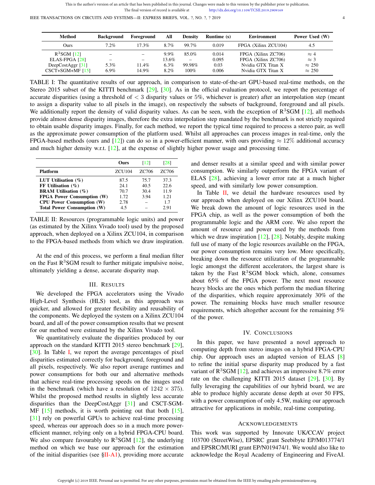IEEE TRANSACTIONS ON CIRCUITS AND SYSTEMS—II: EXPRESS BRIEFS, VOL. ?, NO. ?, ? 2019 4

| Method              | <b>Background</b> | Foreground      | All   | <b>Density</b>           | <b>Runtime</b> (s) | <b>Environment</b>   | Power Used (W) |
|---------------------|-------------------|-----------------|-------|--------------------------|--------------------|----------------------|----------------|
| Ours                | 7.2%              | $17.3\%$        | 8.7%  | 99.7%                    | 0.019              | FPGA (Xilinx ZCU104) | 4.5            |
| $R^3$ SGM [12]      |                   | -               | 9.9%  | 85.0%                    | 0.014              | FPGA (Xilinx ZC706)  | $\approx 4$    |
| $ELAS-FPGA [28]$    |                   | $\qquad \qquad$ | 13.6% | $\overline{\phantom{0}}$ | 0.095              | FPGA (Xilinx ZC706)  | $\approx$ 3    |
| DeepCostAggr $[31]$ | 5.3%              | $11.4\%$        | 6.3%  | 99.98%                   | 0.03               | Nvidia GTX Titan X   | $\approx 250$  |
| $CSCT+SGM+MF$ [15]  | $6.9\%$           | 14.9%           | 8.2%  | $100\%$                  | 0.006              | Nvidia GTX Titan X   | $\approx 250$  |

TABLE I: The quantitative results of our approach, in comparison to state-of-the-art GPU-based real-time methods, on the Stereo 2015 subset of the KITTI benchmark [29], [30]. As in the official evaluation protocol, we report the percentage of accurate disparities (using a threshold of  $<$  3 disparity values or 5%, whichever is greater) after an interpolation step (meant to assign a disparity value to all pixels in the image), on respectively the subsets of background, foreground and all pixels. We additionally report the density of valid disparity values. As can be seen, with the exception of  $R<sup>3</sup>SGM$  [12], all methods provide almost dense disparity images, therefore the extra interpolation step mandated by the benchmark is not strictly required to obtain usable disparity images. Finally, for each method, we report the typical time required to process a stereo pair, as well as the approximate power consumption of the platform used. Whilst all approaches can process images in real-time, only the FPGA-based methods (ours and [12]) can do so in a power-efficient manner, with ours providing  $\approx 12\%$  additional accuracy and much higher density w.r.t. [12], at the expense of slightly higher power usage and processing time.

|                                    | Ours          | [12]  | 1281  |
|------------------------------------|---------------|-------|-------|
| <b>Platform</b>                    | <b>ZCU104</b> | ZC706 | ZC706 |
| LUT Utilisation $(\%)$             | 87.5          | 75.7  | 37.3  |
| FF Utilisation $(\%)$              | 24.1          | 40.5  | 22.6  |
| <b>BRAM Utilisation</b> (%)        | 70.7          | 30.4  | 11.9  |
| <b>FPGA Power Consumption (W)</b>  | 1.72          | 3.94  | 1.21  |
| <b>CPU Power Consumption (W)</b>   | 2.78          |       | 17    |
| <b>Total Power Consumption (W)</b> | 4.5           |       | 2.91  |

TABLE II: Resources (programmable logic units) and power (as estimated by the Xilinx Vivado tool) used by the proposed approach, when deployed on a Xilinx ZCU104, in comparison to the FPGA-based methods from which we draw inspiration.

At the end of this process, we perform a final median filter on the Fast  $R<sup>3</sup>SGM$  result to further mitigate impulsive noise, ultimately yielding a dense, accurate disparity map.

# III. RESULTS

We developed the FPGA accelerators using the Vivado High-Level Synthesis (HLS) tool, as this approach was quicker, and allowed for greater flexibility and reusability of the components. We deployed the system on a Xilinx ZCU104 board, and all of the power consumption results that we present for our method were estimated by the Xilinx Vivado tool.

We quantitatively evaluate the disparities produced by our approach on the standard KITTI 2015 stereo benchmark [29], [30]. In Table I, we report the average percentages of pixel disparities estimated correctly for background, foreground and all pixels, respectively. We also report average runtimes and power consumptions for both our and alternative methods that achieve real-time processing speeds on the images used in the benchmark (which have a resolution of  $1242 \times 375$ ). Whilst the proposed method results in slightly less accurate disparities than the DeepCostAggr [31] and CSCT-SGM-MF  $[15]$  methods, it is worth pointing out that both  $[15]$ , [31] rely on powerful GPUs to achieve real-time processing speed, whereas our approach does so in a much more powerefficient manner, relying only on a hybrid FPGA-CPU board. We also compare favourably to  $R<sup>3</sup>SGM$  [12], the underlying method on which we base our approach for the estimation of the initial disparities (see  $\S$ II-A1), providing more accurate and denser results at a similar speed and with similar power consumption. We similarly outperform the FPGA variant of ELAS [28], achieving a lower error rate at a much higher speed, and with similarly low power consumption.

In Table  $II$ , we detail the hardware resources used by our approach when deployed on our Xilinx ZCU104 board. We break down the amount of logic resources used in the FPGA chip, as well as the power consumption of both the programmable logic and the ARM core. We also report the amount of resource and power used by the methods from which we draw inspiration [12], [28]. Notably, despite making full use of many of the logic resources available on the FPGA, our power consumption remains very low. More specifically, breaking down the resource utilization of the programmable logic amongst the different accelerators, the largest share is taken by the Fast  $R<sup>3</sup>SGM$  block which, alone, consumes about 65% of the FPGA power. The next most resource heavy blocks are the ones which perform the median filtering of the disparities, which require approximately 30% of the power. The remaining blocks have much smaller resource requirements, which altogether account for the remaining 5% of the power.

## IV. CONCLUSIONS

In this paper, we have presented a novel approach to computing depth from stereo images on a hybrid FPGA-CPU chip. Our approach uses an adapted version of ELAS [8] to refine the initial sparse disparity map produced by a fast variant of  $R<sup>3</sup>SGM$  [12], and achieves an impressive 8.7% error rate on the challenging KITTI 2015 dataset [29], [30]. By fully leveraging the capabilities of our hybrid board, we are able to produce highly accurate dense depth at over 50 FPS, with a power consumption of only 4.5W, making our approach attractive for applications in mobile, real-time computing.

#### ACKNOWLEDGEMENTS

This work was supported by Innovate UK/CCAV project 103700 (StreetWise), EPSRC grant Seebibyte EP/M013774/1 and EPSRC/MURI grant EP/N019474/1. We would also like to acknowledge the Royal Academy of Engineering and FiveAI.